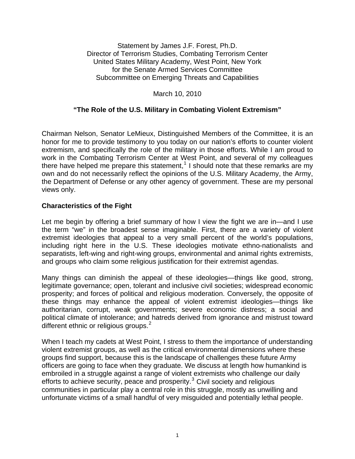Statement by James J.F. Forest, Ph.D. Director of Terrorism Studies, Combating Terrorism Center United States Military Academy, West Point, New York for the Senate Armed Services Committee Subcommittee on Emerging Threats and Capabilities

March 10, 2010

## **"The Role of the U.S. Military in Combating Violent Extremism"**

Chairman Nelson, Senator LeMieux, Distinguished Members of the Committee, it is an honor for me to provide testimony to you today on our nation's efforts to counter violent extremism, and specifically the role of the military in those efforts. While I am proud to work in the Combating Terrorism Center at West Point, and several of my colleagues there have helped me prepare this statement,<sup>[1](#page-4-0)</sup> I should note that these remarks are my own and do not necessarily reflect the opinions of the U.S. Military Academy, the Army, the Department of Defense or any other agency of government. These are my personal views only.

## **Characteristics of the Fight**

Let me begin by offering a brief summary of how I view the fight we are in—and I use the term "we" in the broadest sense imaginable. First, there are a variety of violent extremist ideologies that appeal to a very small percent of the world's populations, including right here in the U.S. These ideologies motivate ethno-nationalists and separatists, left-wing and right-wing groups, environmental and animal rights extremists, and groups who claim some religious justification for their extremist agendas.

Many things can diminish the appeal of these ideologies—things like good, strong, legitimate governance; open, tolerant and inclusive civil societies; widespread economic prosperity; and forces of political and religious moderation. Conversely, the opposite of these things may enhance the appeal of violent extremist ideologies—things like authoritarian, corrupt, weak governments; severe economic distress; a social and political climate of intolerance; and hatreds derived from ignorance and mistrust toward different ethnic or religious groups.<sup>[2](#page-4-1)</sup>

When I teach my cadets at West Point, I stress to them the importance of understanding violent extremist groups, as well as the critical environmental dimensions where these groups find support, because this is the landscape of challenges these future Army officers are going to face when they graduate. We discuss at length how humankind is embroiled in a struggle against a range of violent extremists who challenge our daily efforts to achieve security, peace and prosperity. $3$  Civil society and religious communities in particular play a central role in this struggle, mostly as unwilling and unfortunate victims of a small handful of very misguided and potentially lethal people.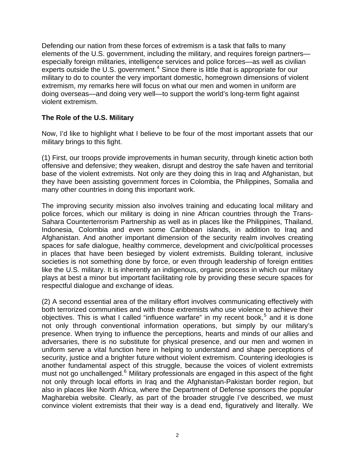Defending our nation from these forces of extremism is a task that falls to many elements of the U.S. government, including the military, and requires foreign partners especially foreign militaries, intelligence services and police forces—as well as civilian experts outside the U.S. government. $4$  Since there is little that is appropriate for our military to do to counter the very important domestic, homegrown dimensions of violent extremism, my remarks here will focus on what our men and women in uniform are doing overseas—and doing very well—to support the world's long-term fight against violent extremism.

## **The Role of the U.S. Military**

Now, I'd like to highlight what I believe to be four of the most important assets that our military brings to this fight.

(1) First, our troops provide improvements in human security, through kinetic action both offensive and defensive; they weaken, disrupt and destroy the safe haven and territorial base of the violent extremists. Not only are they doing this in Iraq and Afghanistan, but they have been assisting government forces in Colombia, the Philippines, Somalia and many other countries in doing this important work.

The improving security mission also involves training and educating local military and police forces, which our military is doing in nine African countries through the Trans-Sahara Counterterrorism Partnership as well as in places like the Philippines, Thailand, Indonesia, Colombia and even some Caribbean islands, in addition to Iraq and Afghanistan. And another important dimension of the security realm involves creating spaces for safe dialogue, healthy commerce, development and civic/political processes in places that have been besieged by violent extremists. Building tolerant, inclusive societies is not something done by force, or even through leadership of foreign entities like the U.S. military. It is inherently an indigenous, organic process in which our military plays at best a minor but important facilitating role by providing these secure spaces for respectful dialogue and exchange of ideas.

(2) A second essential area of the military effort involves communicating effectively with both terrorized communities and with those extremists who use violence to achieve their objectives. This is what I called "influence warfare" in my recent book,<sup>[5](#page-4-1)</sup> and it is done not only through conventional information operations, but simply by our military's presence. When trying to influence the perceptions, hearts and minds of our allies and adversaries, there is no substitute for physical presence, and our men and women in uniform serve a vital function here in helping to understand and shape perceptions of security, justice and a brighter future without violent extremism. Countering ideologies is another fundamental aspect of this struggle, because the voices of violent extremists must not go unchallenged.<sup>[6](#page-4-1)</sup> Military professionals are engaged in this aspect of the fight not only through local efforts in Iraq and the Afghanistan-Pakistan border region, but also in places like North Africa, where the Department of Defense sponsors the popular Magharebia website. Clearly, as part of the broader struggle I've described, we must convince violent extremists that their way is a dead end, figuratively and literally. We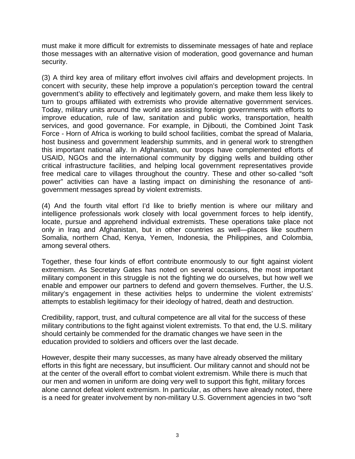must make it more difficult for extremists to disseminate messages of hate and replace those messages with an alternative vision of moderation, good governance and human security.

(3) A third key area of military effort involves civil affairs and development projects. In concert with security, these help improve a population's perception toward the central government's ability to effectively and legitimately govern, and make them less likely to turn to groups affiliated with extremists who provide alternative government services. Today, military units around the world are assisting foreign governments with efforts to improve education, rule of law, sanitation and public works, transportation, health services, and good governance. For example, in Djibouti, the Combined Joint Task Force - Horn of Africa is working to build school facilities, combat the spread of Malaria, host business and government leadership summits, and in general work to strengthen this important national ally. In Afghanistan, our troops have complemented efforts of USAID, NGOs and the international community by digging wells and building other critical infrastructure facilities, and helping local government representatives provide free medical care to villages throughout the country. These and other so-called "soft power" activities can have a lasting impact on diminishing the resonance of antigovernment messages spread by violent extremists.

(4) And the fourth vital effort I'd like to briefly mention is where our military and intelligence professionals work closely with local government forces to help identify, locate, pursue and apprehend individual extremists. These operations take place not only in Iraq and Afghanistan, but in other countries as well—places like southern Somalia, northern Chad, Kenya, Yemen, Indonesia, the Philippines, and Colombia, among several others.

Together, these four kinds of effort contribute enormously to our fight against violent extremism. As Secretary Gates has noted on several occasions, the most important military component in this struggle is not the fighting we do ourselves, but how well we enable and empower our partners to defend and govern themselves. Further, the U.S. military's engagement in these activities helps to undermine the violent extremists' attempts to establish legitimacy for their ideology of hatred, death and destruction.

Credibility, rapport, trust, and cultural competence are all vital for the success of these military contributions to the fight against violent extremists. To that end, the U.S. military should certainly be commended for the dramatic changes we have seen in the education provided to soldiers and officers over the last decade.

However, despite their many successes, as many have already observed the military efforts in this fight are necessary, but insufficient. Our military cannot and should not be at the center of the overall effort to combat violent extremism. While there is much that our men and women in uniform are doing very well to support this fight, military forces alone cannot defeat violent extremism. In particular, as others have already noted, there is a need for greater involvement by non-military U.S. Government agencies in two "soft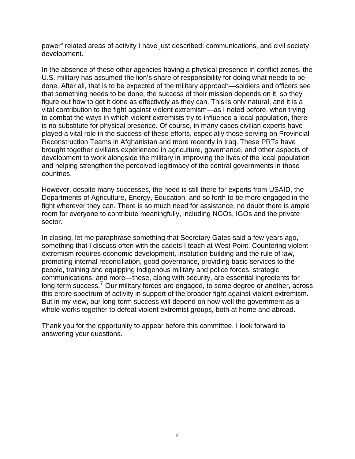power" related areas of activity I have just described: communications, and civil society development.

In the absence of these other agencies having a physical presence in conflict zones, the U.S. military has assumed the lion's share of responsibility for doing what needs to be done. After all, that is to be expected of the military approach—soldiers and officers see that something needs to be done, the success of their mission depends on it, so they figure out how to get it done as effectively as they can. This is only natural, and it is a vital contribution to the fight against violent extremism—as I noted before, when trying to combat the ways in which violent extremists try to influence a local population, there is no substitute for physical presence. Of course, in many cases civilian experts have played a vital role in the success of these efforts, especially those serving on Provincial Reconstruction Teams in Afghanistan and more recently in Iraq. These PRTs have brought together civilians experienced in agriculture, governance, and other aspects of development to work alongside the military in improving the lives of the local population and helping strengthen the perceived legitimacy of the central governments in those countries.

However, despite many successes, the need is still there for experts from USAID, the Departments of Agriculture, Energy, Education, and so forth to be more engaged in the fight wherever they can. There is so much need for assistance, no doubt there is ample room for everyone to contribute meaningfully, including NGOs, IGOs and the private sector.

In closing, let me paraphrase something that Secretary Gates said a few years ago, something that I discuss often with the cadets I teach at West Point. Countering violent extremism requires economic development, institution-building and the rule of law, promoting internal reconciliation, good governance, providing basic services to the people, training and equipping indigenous military and police forces, strategic communications, and more—these, along with security, are essential ingredients for long-term success.<sup>[7](#page-4-1)</sup> Our military forces are engaged, to some degree or another, across this entire spectrum of activity in support of the broader fight against violent extremism. But in my view, our long-term success will depend on how well the government as a whole works together to defeat violent extremist groups, both at home and abroad.

Thank you for the opportunity to appear before this committee. I look forward to answering your questions.